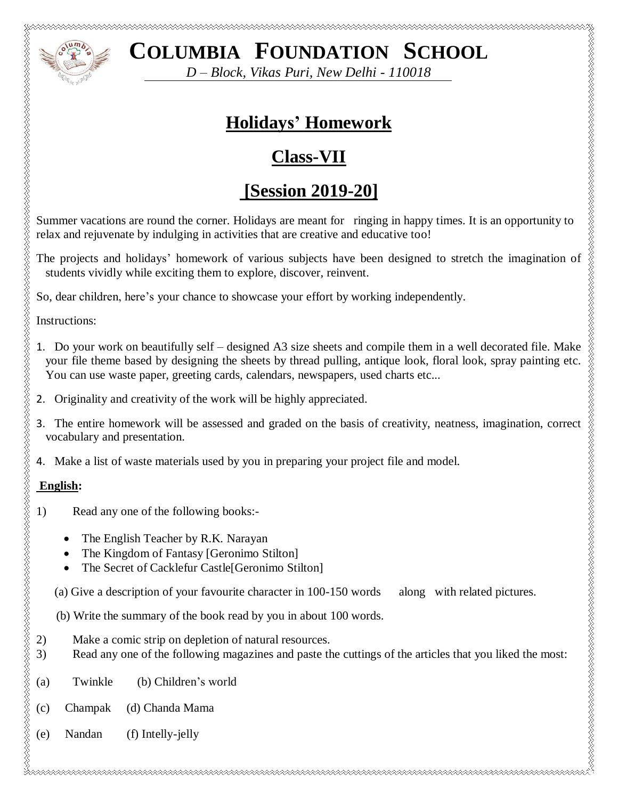

**COLUMBIA FOUNDATION SCHOOL**

*D – Block, Vikas Puri, New Delhi - 110018*

# **Holidays' Homework**

# **Class-VII**

# **[Session 2019-20]**

Summer vacations are round the corner. Holidays are meant for ringing in happy times. It is an opportunity to relax and rejuvenate by indulging in activities that are creative and educative too!

The projects and holidays' homework of various subjects have been designed to stretch the imagination of students vividly while exciting them to explore, discover, reinvent.

So, dear children, here's your chance to showcase your effort by working independently.

Instructions:

- 1. Do your work on beautifully self designed A3 size sheets and compile them in a well decorated file. Make your file theme based by designing the sheets by thread pulling, antique look, floral look, spray painting etc. You can use waste paper, greeting cards, calendars, newspapers, used charts etc... **EXECUTE AND COLUMBIA FOUNDATION SCHOOL**<br> *D Block, Viktor Puri, New Delhi - 110018*<br>
<sup>2</sup><br>
<sup>2</sup><br>
<sup>2</sup> simmer vacuitons are round the correr, itsindays are meant for ringing in happy times. It is an opport<br>
<sup>2</sup> simmer vacuit
	- 2. Originality and creativity of the work will be highly appreciated.
	- 3. The entire homework will be assessed and graded on the basis of creativity, neatness, imagination, correct vocabulary and presentation.
	- 4. Make a list of waste materials used by you in preparing your project file and model.

### **English:**

- 1) Read any one of the following books:-
	- The English Teacher by R.K. Narayan
	- The Kingdom of Fantasy [Geronimo Stilton]
	- The Secret of Cacklefur Castle[Geronimo Stilton]
	-
	- (b) Write the summary of the book read by you in about 100 words.
- 2) Make a comic strip on depletion of natural resources.
- 3) Read any one of the following magazines and paste the cuttings of the articles that you liked the most:
- (a) Twinkle (b) Children's world
- (c) Champak (d) Chanda Mama
- (e) Nandan (f) Intelly-jelly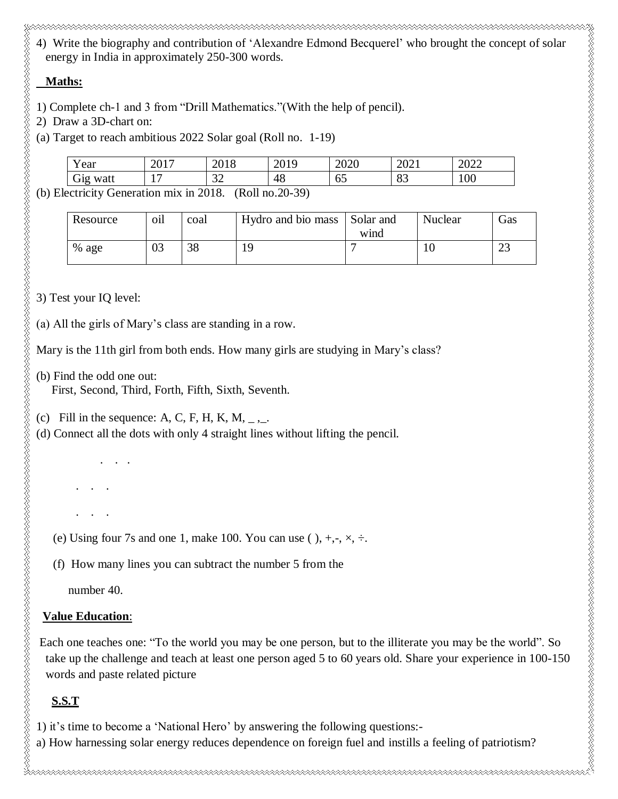4) Write the biography and contribution of 'Alexandre Edmond Becquerel' who brought the concept of solar energy in India in approximately 250-300 words.

#### **Maths:**

- 1) Complete ch-1 and 3 from "Drill Mathematics."(With the help of pencil).
- 2) Draw a 3D-chart on:
- (a) Target to reach ambitious 2022 Solar goal (Roll no. 1-19)

| $\mathbf{v}$                                   | Y ear                     | 2017<br>ZUI                     | 2010<br>2010 | 0.10<br>∠∪⊥ | 2020     | 2021           | റററ<br>ZUZZ |
|------------------------------------------------|---------------------------|---------------------------------|--------------|-------------|----------|----------------|-------------|
|                                                | r.<br>watt<br>$\sigma$ 12 | $\overline{\phantom{0}}$<br>. . | $\cap$<br>ىر | 48          | 65<br>UJ | $\circ$<br>OJ. | 100         |
| $(D - 11 - 200)$<br>71.<br>2010<br>1. <b>.</b> |                           |                                 |              |             |          |                |             |

(b) Electricity Generation mix in 2018. (Roll no.20-39)

| Resource | $\cdot$ .<br>O1l | coal | Hydro and bio mass | Solar and<br>wind | Nuclear | Gas         |
|----------|------------------|------|--------------------|-------------------|---------|-------------|
| % age    | 03               | 38   |                    |                   | 1 U     | $\sim$<br>ت |

3) Test your IQ level:

(a) All the girls of Mary's class are standing in a row.

Mary is the 11th girl from both ends. How many girls are studying in Mary's class?

(b) Find the odd one out:

. . .

. . .

. . .

First, Second, Third, Forth, Fifth, Sixth, Seventh.

(c) Fill in the sequence: A, C, F, H, K, M,  $_{-}$ ,  $_{-}$ .

(d) Connect all the dots with only 4 straight lines without lifting the pencil.

(e) Using four 7s and one 1, make 100. You can use ( ),  $+, \neg, \times, \div$ .

(f) How many lines you can subtract the number 5 from the

number 40.

#### **Value Education**:

Each one teaches one: "To the world you may be one person, but to the illiterate you may be the world". So take up the challenge and teach at least one person aged 5 to 60 years old. Share your experience in 100-150 words and paste related picture

## **S.S.T**

1) it's time to become a 'National Hero' by answering the following questions: a) How harnessing solar energy reduces dependence on foreign fuel and instills a feeling of patriotism?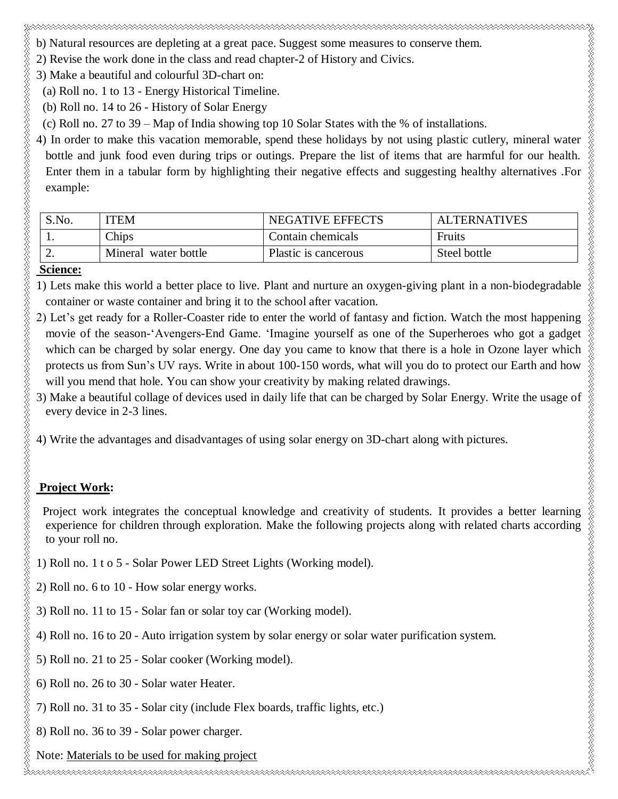b) Natural resources are depleting at a great pace. Suggest some measures to conserve them.

2) Revise the work done in the class and read chapter-2 of History and Civics.

3) Make a beautiful and colourful 3D-chart on:

(a) Roll no. 1 to 13 - Energy Historical Timeline.

(b) Roll no. 14 to 26 - History of Solar Energy

(c) Roll no. 27 to 39 – Map of India showing top 10 Solar States with the % of installations.

4) In order to make this vacation memorable, spend these holidays by not using plastic cutlery, mineral water bottle and junk food even during trips or outings. Prepare the list of items that are harmful for our health. Enter them in a tabular form by highlighting their negative effects and suggesting healthy alternatives .For example:

ELEKTROLOGI ER ELEKTROLOGI ER ELEKTROLOGI ER ELEKTROLOGI ER ELEKTROLOGI ER ELEKTROLOGI ER ELEKTROLOGI ER ELEKT

| S.No. | TEM                  | <b>NEGATIVE EFFECTS</b> | <b>ALTERNATIVES</b> |
|-------|----------------------|-------------------------|---------------------|
|       | Chips                | Contain chemicals       | Fruits              |
| ـ ت   | Mineral water bottle | Plastic is cancerous    | Steel bottle        |

#### **Science:**

1) Lets make this world a better place to live. Plant and nurture an oxygen-giving plant in a non-biodegradable container or waste container and bring it to the school after vacation.

- 2) Let's get ready for a Roller-Coaster ride to enter the world of fantasy and fiction. Watch the most happening movie of the season-'Avengers-End Game. 'Imagine yourself as one of the Superheroes who got a gadget which can be charged by solar energy. One day you came to know that there is a hole in Ozone layer which protects us from Sun's UV rays. Write in about 100-150 words, what will you do to protect our Earth and how will you mend that hole. You can show your creativity by making related drawings.
- 3) Make a beautiful collage of devices used in daily life that can be charged by Solar Energy. Write the usage of every device in 2-3 lines.

4) Write the advantages and disadvantages of using solar energy on 3D-chart along with pictures.

### **Project Work:**

 Project work integrates the conceptual knowledge and creativity of students. It provides a better learning experience for children through exploration. Make the following projects along with related charts according to your roll no.

- 1) Roll no. 1 t o 5 Solar Power LED Street Lights (Working model).
- 2) Roll no. 6 to 10 How solar energy works.
- 3) Roll no. 11 to 15 Solar fan or solar toy car (Working model).
- 4) Roll no. 16 to 20 Auto irrigation system by solar energy or solar water purification system.
- 5) Roll no. 21 to 25 Solar cooker (Working model).
- 6) Roll no. 26 to 30 Solar water Heater.
- 7) Roll no. 31 to 35 Solar city (include Flex boards, traffic lights, etc.)
- 8) Roll no. 36 to 39 Solar power charger.
- Note: Materials to be used for making project